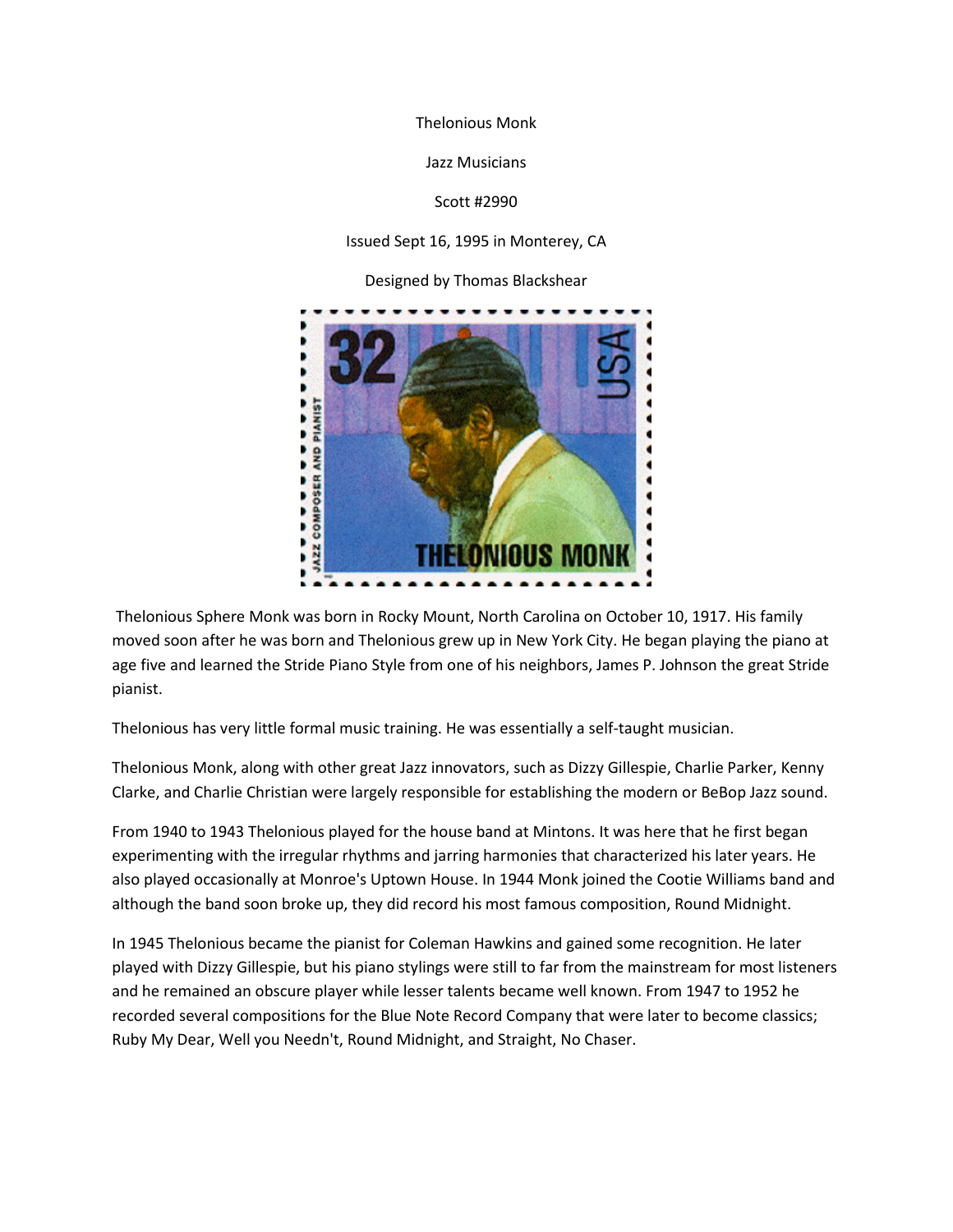Thelonious Monk

Jazz Musicians

## Scott #2990

## Issued Sept 16, 1995 in Monterey, CA

Designed by Thomas Blackshear



Thelonious Sphere Monk was born in Rocky Mount, North Carolina on October 10, 1917. His family moved soon after he was born and Thelonious grew up in New York City. He began playing the piano at age five and learned the Stride Piano Style from one of his neighbors, James P. Johnson the great Stride pianist.

Thelonious has very little formal music training. He was essentially a self-taught musician.

Thelonious Monk, along with other great Jazz innovators, such as Dizzy Gillespie, Charlie Parker, Kenny Clarke, and Charlie Christian were largely responsible for establishing the modern or BeBop Jazz sound.

From 1940 to 1943 Thelonious played for the house band at Mintons. It was here that he first began experimenting with the irregular rhythms and jarring harmonies that characterized his later years. He also played occasionally at Monroe's Uptown House. In 1944 Monk joined the Cootie Williams band and although the band soon broke up, they did record his most famous composition, Round Midnight.

In 1945 Thelonious became the pianist for Coleman Hawkins and gained some recognition. He later played with Dizzy Gillespie, but his piano stylings were still to far from the mainstream for most listeners and he remained an obscure player while lesser talents became well known. From 1947 to 1952 he recorded several compositions for the Blue Note Record Company that were later to become classics; Ruby My Dear, Well you Needn't, Round Midnight, and Straight, No Chaser.